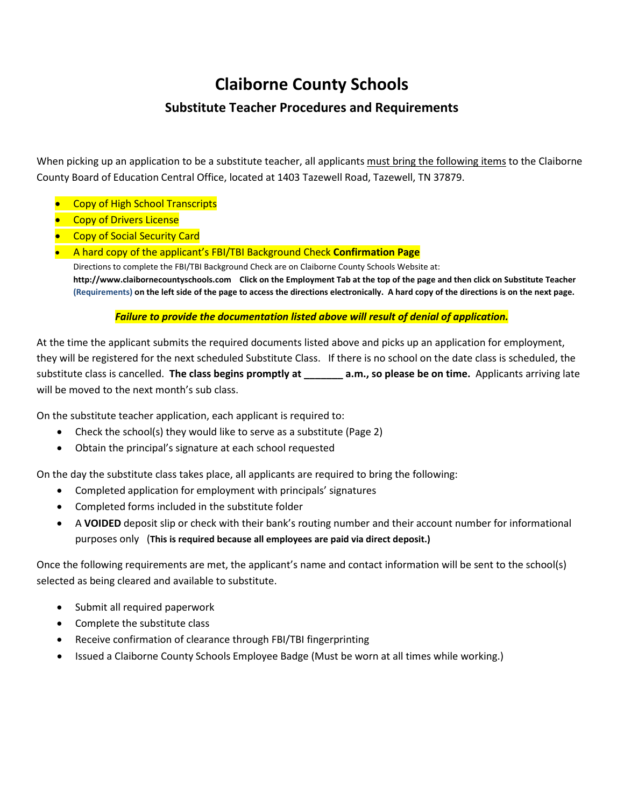# **Claiborne County Schools**

# **Substitute Teacher Procedures and Requirements**

When picking up an application to be a substitute teacher, all applicants must bring the following items to the Claiborne County Board of Education Central Office, located at 1403 Tazewell Road, Tazewell, TN 37879.

- Copy of High School Transcripts
- **Copy of Drivers License**
- Copy of Social Security Card
- A hard copy of the applicant's FBI/TBI Background Check **Confirmation Page** Directions to complete the FBI/TBI Background Check are on Claiborne County Schools Website at: **http://www.claibornecountyschools.com Click on the Employment Tab at the top of the page and then click on Substitute Teacher (Requirements) on the left side of the page to access the directions electronically. A hard copy of the directions is on the next page.**

## *Failure to provide the documentation listed above will result of denial of application.*

At the time the applicant submits the required documents listed above and picks up an application for employment, they will be registered for the next scheduled Substitute Class. If there is no school on the date class is scheduled, the substitute class is cancelled. **The class begins promptly at \_\_\_\_\_\_\_ a.m., so please be on time.** Applicants arriving late will be moved to the next month's sub class.

On the substitute teacher application, each applicant is required to:

- Check the school(s) they would like to serve as a substitute (Page 2)
- Obtain the principal's signature at each school requested

On the day the substitute class takes place, all applicants are required to bring the following:

- Completed application for employment with principals' signatures
- Completed forms included in the substitute folder
- A **VOIDED** deposit slip or check with their bank's routing number and their account number for informational purposes only (**This is required because all employees are paid via direct deposit.)**

Once the following requirements are met, the applicant's name and contact information will be sent to the school(s) selected as being cleared and available to substitute.

- Submit all required paperwork
- Complete the substitute class
- Receive confirmation of clearance through FBI/TBI fingerprinting
- Issued a Claiborne County Schools Employee Badge (Must be worn at all times while working.)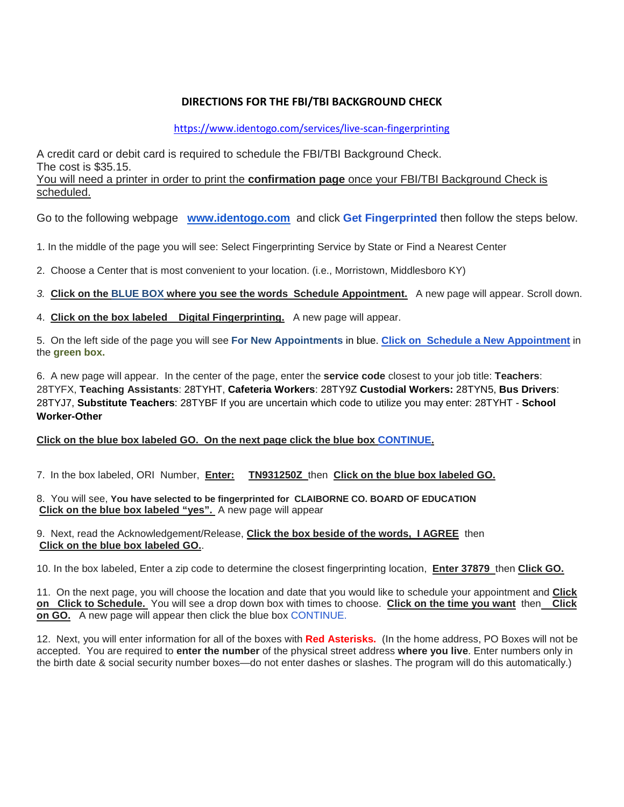## **DIRECTIONS FOR THE FBI/TBI BACKGROUND CHECK**

#### <https://www.identogo.com/services/live-scan-fingerprinting>

A credit card or debit card is required to schedule the FBI/TBI Background Check. The cost is \$35.15.

You will need a printer in order to print the **confirmation page** once your FBI/TBI Background Check is scheduled.

Go to the following webpage **[www.identogo.com](http://www.identogo.com/)** and click **Get Fingerprinted** then follow the steps below.

1. In the middle of the page you will see: Select Fingerprinting Service by State or Find a Nearest Center

2. Choose a Center that is most convenient to your location. (i.e., Morristown, Middlesboro KY)

*3.* **Click on the BLUE BOX where you see the words Schedule Appointment.** A new page will appear. Scroll down.

4. **Click on the box labeled Digital Fingerprinting.** A new page will appear.

5. On the left side of the page you will see **For New Appointments** in blue. **Click on Schedule a New Appointment** in the **green box.**

6. A new page will appear. In the center of the page, enter the **service code** closest to your job title: **Teachers**: 28TYFX, **Teaching Assistants**: 28TYHT, **Cafeteria Workers**: 28TY9Z **Custodial Workers:** 28TYN5, **Bus Drivers**: 28TYJ7, **Substitute Teachers**: 28TYBF If you are uncertain which code to utilize you may enter: 28TYHT - **School Worker-Other**

#### **Click on the blue box labeled GO. On the next page click the blue box CONTINUE.**

7. In the box labeled, ORI Number, **Enter: TN931250Z** then **Click on the blue box labeled GO.**

8. You will see, **You have selected to be fingerprinted for CLAIBORNE CO. BOARD OF EDUCATION Click on the blue box labeled "yes".** A new page will appear

9. Next, read the Acknowledgement/Release, **Click the box beside of the words, I AGREE** then **Click on the blue box labeled GO.**.

10. In the box labeled, Enter a zip code to determine the closest fingerprinting location, **Enter 37879** then **Click GO.**

11. On the next page, you will choose the location and date that you would like to schedule your appointment and **Click on Click to Schedule.** You will see a drop down box with times to choose. **Click on the time you want** then **Click on GO.** A new page will appear then click the blue box CONTINUE.

12. Next, you will enter information for all of the boxes with **Red Asterisks.** (In the home address, PO Boxes will not be accepted. You are required to **enter the number** of the physical street address **where you live**. Enter numbers only in the birth date & social security number boxes—do not enter dashes or slashes. The program will do this automatically.)